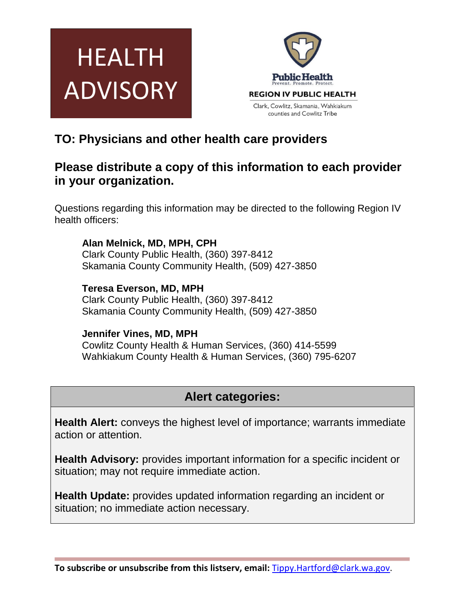



## **TO: Physicians and other health care providers**

## **Please distribute a copy of this information to each provider in your organization.**

Questions regarding this information may be directed to the following Region IV health officers:

**Alan Melnick, MD, MPH, CPH** Clark County Public Health, (360) 397-8412 Skamania County Community Health, (509) 427-3850

**Teresa Everson, MD, MPH** Clark County Public Health, (360) 397-8412 Skamania County Community Health, (509) 427-3850

### **Jennifer Vines, MD, MPH**

Cowlitz County Health & Human Services, (360) 414-5599 Wahkiakum County Health & Human Services, (360) 795-6207

# **Alert categories:**

**Health Alert:** conveys the highest level of importance; warrants immediate action or attention.

**Health Advisory:** provides important information for a specific incident or situation; may not require immediate action.

**Health Update:** provides updated information regarding an incident or situation; no immediate action necessary.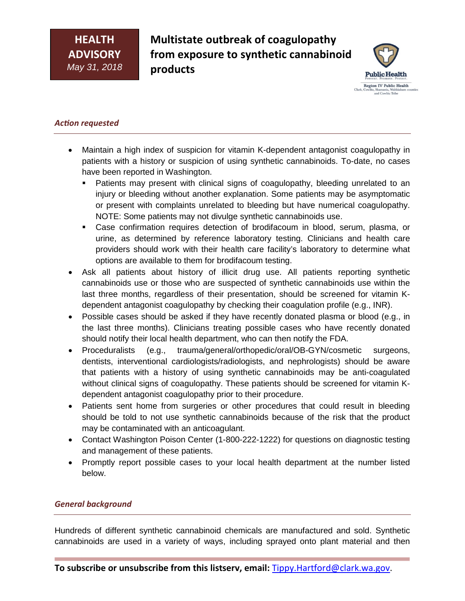**Multistate outbreak of coagulopathy from exposure to synthetic cannabinoid products**



#### *Action requested*

- Maintain a high index of suspicion for vitamin K-dependent antagonist coagulopathy in patients with a history or suspicion of using synthetic cannabinoids. To-date, no cases have been reported in Washington.
	- **Patients may present with clinical signs of coagulopathy, bleeding unrelated to an** injury or bleeding without another explanation. Some patients may be asymptomatic or present with complaints unrelated to bleeding but have numerical coagulopathy. NOTE: Some patients may not divulge synthetic cannabinoids use.
	- Case confirmation requires detection of brodifacoum in blood, serum, plasma, or urine, as determined by reference laboratory testing. Clinicians and health care providers should work with their health care facility's laboratory to determine what options are available to them for brodifacoum testing.
- Ask all patients about history of illicit drug use. All patients reporting synthetic cannabinoids use or those who are suspected of synthetic cannabinoids use within the last three months, regardless of their presentation, should be screened for vitamin Kdependent antagonist coagulopathy by checking their coagulation profile (e.g., INR).
- Possible cases should be asked if they have recently donated plasma or blood (e.g., in the last three months). Clinicians treating possible cases who have recently donated should notify their local health department, who can then notify the FDA.
- Proceduralists (e.g., trauma/general/orthopedic/oral/OB-GYN/cosmetic surgeons, dentists, interventional cardiologists/radiologists, and nephrologists) should be aware that patients with a history of using synthetic cannabinoids may be anti-coagulated without clinical signs of coagulopathy. These patients should be screened for vitamin Kdependent antagonist coagulopathy prior to their procedure.
- Patients sent home from surgeries or other procedures that could result in bleeding should be told to not use synthetic cannabinoids because of the risk that the product may be contaminated with an anticoagulant.
- Contact Washington Poison Center (1-800-222-1222) for questions on diagnostic testing and management of these patients.
- Promptly report possible cases to your local health department at the number listed below.

#### *General background*

Hundreds of different synthetic cannabinoid chemicals are manufactured and sold. Synthetic cannabinoids are used in a variety of ways, including sprayed onto plant material and then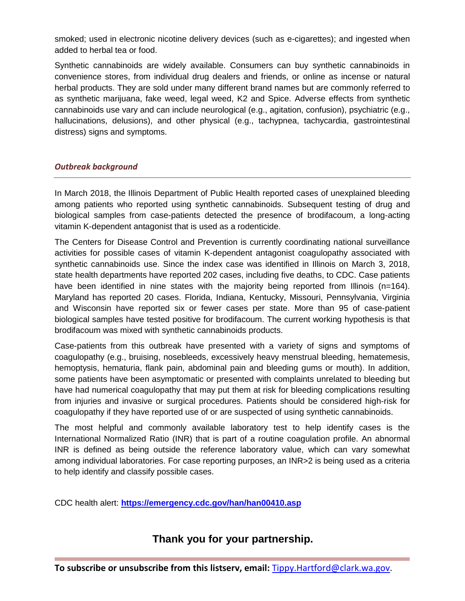smoked; used in electronic nicotine delivery devices (such as e-cigarettes); and ingested when added to herbal tea or food.

Synthetic cannabinoids are widely available. Consumers can buy synthetic cannabinoids in convenience stores, from individual drug dealers and friends, or online as incense or natural herbal products. They are sold under many different brand names but are commonly referred to as synthetic marijuana, fake weed, legal weed, K2 and Spice. Adverse effects from synthetic cannabinoids use vary and can include neurological (e.g., agitation, confusion), psychiatric (e.g., hallucinations, delusions), and other physical (e.g., tachypnea, tachycardia, gastrointestinal distress) signs and symptoms.

#### *Outbreak background*

In March 2018, the Illinois Department of Public Health reported cases of unexplained bleeding among patients who reported using synthetic cannabinoids. Subsequent testing of drug and biological samples from case-patients detected the presence of brodifacoum, a long-acting vitamin K-dependent antagonist that is used as a rodenticide.

The Centers for Disease Control and Prevention is currently coordinating national surveillance activities for possible cases of vitamin K-dependent antagonist coagulopathy associated with synthetic cannabinoids use. Since the index case was identified in Illinois on March 3, 2018, state health departments have reported 202 cases, including five deaths, to CDC. Case patients have been identified in nine states with the majority being reported from Illinois (n=164). Maryland has reported 20 cases. Florida, Indiana, Kentucky, Missouri, Pennsylvania, Virginia and Wisconsin have reported six or fewer cases per state. More than 95 of case-patient biological samples have tested positive for brodifacoum. The current working hypothesis is that brodifacoum was mixed with synthetic cannabinoids products.

Case-patients from this outbreak have presented with a variety of signs and symptoms of coagulopathy (e.g., bruising, nosebleeds, excessively heavy menstrual bleeding, hematemesis, hemoptysis, hematuria, flank pain, abdominal pain and bleeding gums or mouth). In addition, some patients have been asymptomatic or presented with complaints unrelated to bleeding but have had numerical coagulopathy that may put them at risk for bleeding complications resulting from injuries and invasive or surgical procedures. Patients should be considered high-risk for coagulopathy if they have reported use of or are suspected of using synthetic cannabinoids.

The most helpful and commonly available laboratory test to help identify cases is the International Normalized Ratio (INR) that is part of a routine coagulation profile. An abnormal INR is defined as being outside the reference laboratory value, which can vary somewhat among individual laboratories. For case reporting purposes, an INR>2 is being used as a criteria to help identify and classify possible cases.

CDC health alert: **<https://emergency.cdc.gov/han/han00410.asp>**

### **Thank you for your partnership.**